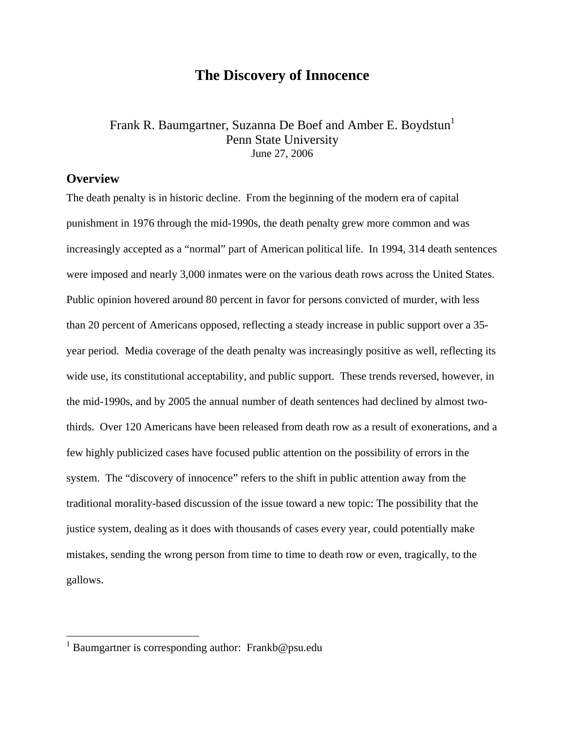# **The Discovery of Innocence**

## Frank R. Baumgartner, Suzanna De Boef and Amber E. Boydstun<sup>1</sup> Penn State University June 27, 2006

### **Overview**

 $\overline{a}$ 

The death penalty is in historic decline. From the beginning of the modern era of capital punishment in 1976 through the mid-1990s, the death penalty grew more common and was increasingly accepted as a "normal" part of American political life. In 1994, 314 death sentences were imposed and nearly 3,000 inmates were on the various death rows across the United States. Public opinion hovered around 80 percent in favor for persons convicted of murder, with less than 20 percent of Americans opposed, reflecting a steady increase in public support over a 35 year period. Media coverage of the death penalty was increasingly positive as well, reflecting its wide use, its constitutional acceptability, and public support. These trends reversed, however, in the mid-1990s, and by 2005 the annual number of death sentences had declined by almost twothirds. Over 120 Americans have been released from death row as a result of exonerations, and a few highly publicized cases have focused public attention on the possibility of errors in the system. The "discovery of innocence" refers to the shift in public attention away from the traditional morality-based discussion of the issue toward a new topic: The possibility that the justice system, dealing as it does with thousands of cases every year, could potentially make mistakes, sending the wrong person from time to time to death row or even, tragically, to the gallows.

<sup>&</sup>lt;sup>1</sup> Baumgartner is corresponding author: Frankb@psu.edu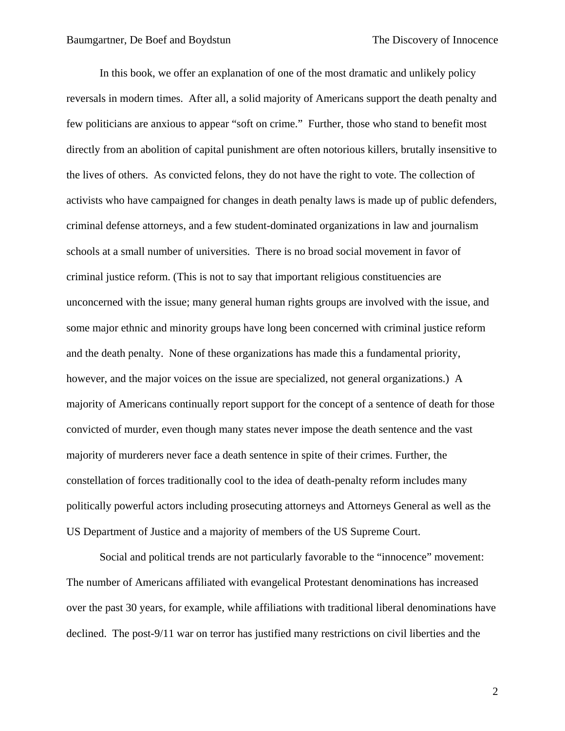In this book, we offer an explanation of one of the most dramatic and unlikely policy reversals in modern times. After all, a solid majority of Americans support the death penalty and few politicians are anxious to appear "soft on crime." Further, those who stand to benefit most directly from an abolition of capital punishment are often notorious killers, brutally insensitive to the lives of others. As convicted felons, they do not have the right to vote. The collection of activists who have campaigned for changes in death penalty laws is made up of public defenders, criminal defense attorneys, and a few student-dominated organizations in law and journalism schools at a small number of universities. There is no broad social movement in favor of criminal justice reform. (This is not to say that important religious constituencies are unconcerned with the issue; many general human rights groups are involved with the issue, and some major ethnic and minority groups have long been concerned with criminal justice reform and the death penalty. None of these organizations has made this a fundamental priority, however, and the major voices on the issue are specialized, not general organizations.) A majority of Americans continually report support for the concept of a sentence of death for those convicted of murder, even though many states never impose the death sentence and the vast majority of murderers never face a death sentence in spite of their crimes. Further, the constellation of forces traditionally cool to the idea of death-penalty reform includes many politically powerful actors including prosecuting attorneys and Attorneys General as well as the US Department of Justice and a majority of members of the US Supreme Court.

Social and political trends are not particularly favorable to the "innocence" movement: The number of Americans affiliated with evangelical Protestant denominations has increased over the past 30 years, for example, while affiliations with traditional liberal denominations have declined. The post-9/11 war on terror has justified many restrictions on civil liberties and the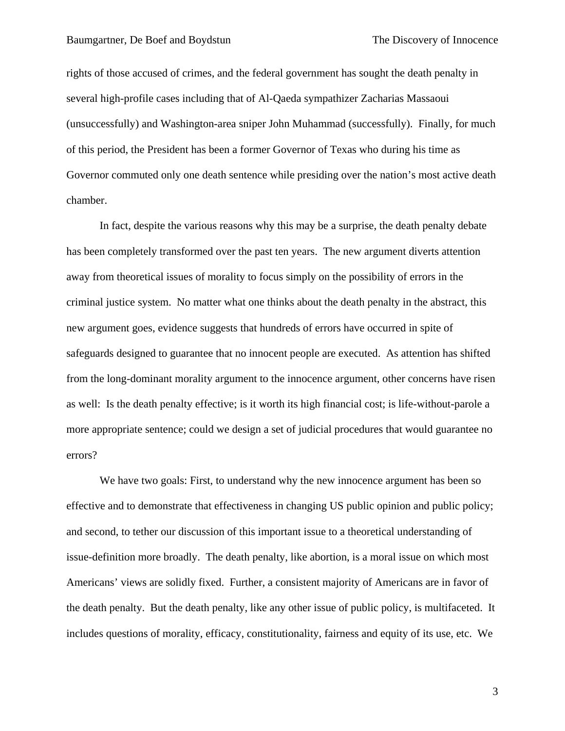rights of those accused of crimes, and the federal government has sought the death penalty in several high-profile cases including that of Al-Qaeda sympathizer Zacharias Massaoui (unsuccessfully) and Washington-area sniper John Muhammad (successfully). Finally, for much of this period, the President has been a former Governor of Texas who during his time as Governor commuted only one death sentence while presiding over the nation's most active death chamber.

In fact, despite the various reasons why this may be a surprise, the death penalty debate has been completely transformed over the past ten years. The new argument diverts attention away from theoretical issues of morality to focus simply on the possibility of errors in the criminal justice system. No matter what one thinks about the death penalty in the abstract, this new argument goes, evidence suggests that hundreds of errors have occurred in spite of safeguards designed to guarantee that no innocent people are executed. As attention has shifted from the long-dominant morality argument to the innocence argument, other concerns have risen as well: Is the death penalty effective; is it worth its high financial cost; is life-without-parole a more appropriate sentence; could we design a set of judicial procedures that would guarantee no errors?

We have two goals: First, to understand why the new innocence argument has been so effective and to demonstrate that effectiveness in changing US public opinion and public policy; and second, to tether our discussion of this important issue to a theoretical understanding of issue-definition more broadly. The death penalty, like abortion, is a moral issue on which most Americans' views are solidly fixed. Further, a consistent majority of Americans are in favor of the death penalty. But the death penalty, like any other issue of public policy, is multifaceted. It includes questions of morality, efficacy, constitutionality, fairness and equity of its use, etc. We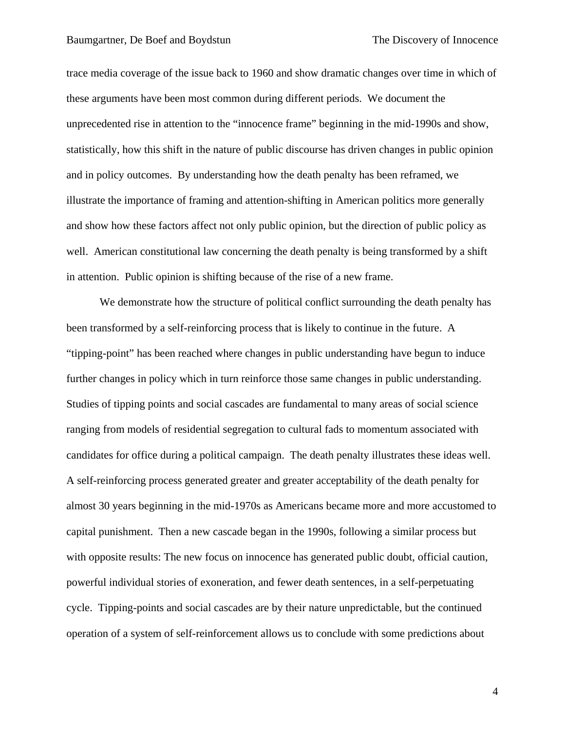trace media coverage of the issue back to 1960 and show dramatic changes over time in which of these arguments have been most common during different periods. We document the unprecedented rise in attention to the "innocence frame" beginning in the mid-1990s and show, statistically, how this shift in the nature of public discourse has driven changes in public opinion and in policy outcomes. By understanding how the death penalty has been reframed, we illustrate the importance of framing and attention-shifting in American politics more generally and show how these factors affect not only public opinion, but the direction of public policy as well. American constitutional law concerning the death penalty is being transformed by a shift in attention. Public opinion is shifting because of the rise of a new frame.

We demonstrate how the structure of political conflict surrounding the death penalty has been transformed by a self-reinforcing process that is likely to continue in the future. A "tipping-point" has been reached where changes in public understanding have begun to induce further changes in policy which in turn reinforce those same changes in public understanding. Studies of tipping points and social cascades are fundamental to many areas of social science ranging from models of residential segregation to cultural fads to momentum associated with candidates for office during a political campaign. The death penalty illustrates these ideas well. A self-reinforcing process generated greater and greater acceptability of the death penalty for almost 30 years beginning in the mid-1970s as Americans became more and more accustomed to capital punishment. Then a new cascade began in the 1990s, following a similar process but with opposite results: The new focus on innocence has generated public doubt, official caution, powerful individual stories of exoneration, and fewer death sentences, in a self-perpetuating cycle. Tipping-points and social cascades are by their nature unpredictable, but the continued operation of a system of self-reinforcement allows us to conclude with some predictions about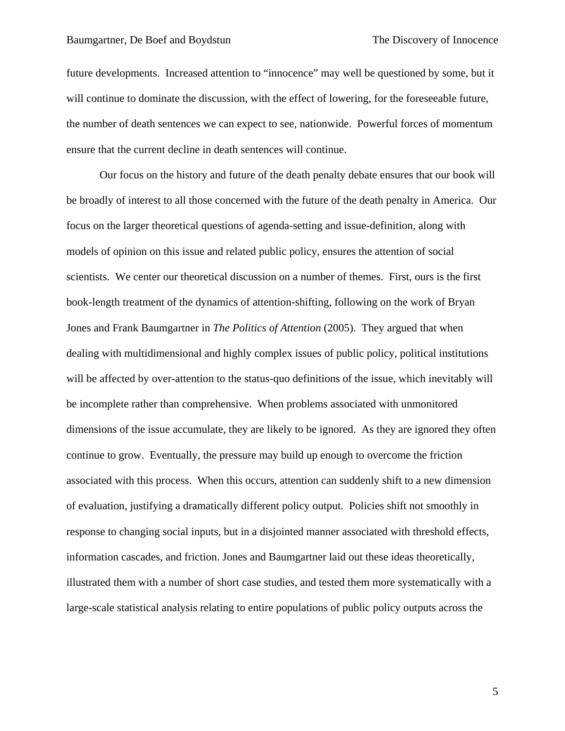future developments. Increased attention to "innocence" may well be questioned by some, but it will continue to dominate the discussion, with the effect of lowering, for the foreseeable future, the number of death sentences we can expect to see, nationwide. Powerful forces of momentum ensure that the current decline in death sentences will continue.

Our focus on the history and future of the death penalty debate ensures that our book will be broadly of interest to all those concerned with the future of the death penalty in America. Our focus on the larger theoretical questions of agenda-setting and issue-definition, along with models of opinion on this issue and related public policy, ensures the attention of social scientists. We center our theoretical discussion on a number of themes. First, ours is the first book-length treatment of the dynamics of attention-shifting, following on the work of Bryan Jones and Frank Baumgartner in *The Politics of Attention* (2005). They argued that when dealing with multidimensional and highly complex issues of public policy, political institutions will be affected by over-attention to the status-quo definitions of the issue, which inevitably will be incomplete rather than comprehensive. When problems associated with unmonitored dimensions of the issue accumulate, they are likely to be ignored. As they are ignored they often continue to grow. Eventually, the pressure may build up enough to overcome the friction associated with this process. When this occurs, attention can suddenly shift to a new dimension of evaluation, justifying a dramatically different policy output. Policies shift not smoothly in response to changing social inputs, but in a disjointed manner associated with threshold effects, information cascades, and friction. Jones and Baumgartner laid out these ideas theoretically, illustrated them with a number of short case studies, and tested them more systematically with a large-scale statistical analysis relating to entire populations of public policy outputs across the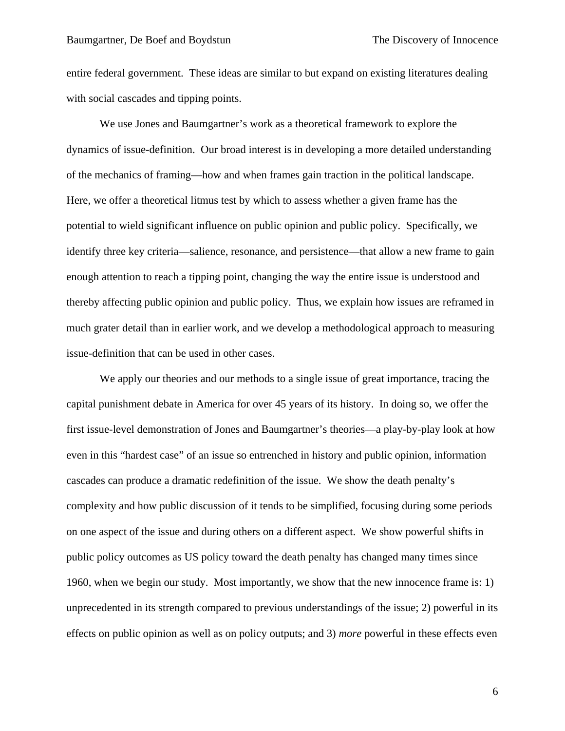entire federal government. These ideas are similar to but expand on existing literatures dealing with social cascades and tipping points.

We use Jones and Baumgartner's work as a theoretical framework to explore the dynamics of issue-definition. Our broad interest is in developing a more detailed understanding of the mechanics of framing—how and when frames gain traction in the political landscape. Here, we offer a theoretical litmus test by which to assess whether a given frame has the potential to wield significant influence on public opinion and public policy. Specifically, we identify three key criteria—salience, resonance, and persistence—that allow a new frame to gain enough attention to reach a tipping point, changing the way the entire issue is understood and thereby affecting public opinion and public policy. Thus, we explain how issues are reframed in much grater detail than in earlier work, and we develop a methodological approach to measuring issue-definition that can be used in other cases.

We apply our theories and our methods to a single issue of great importance, tracing the capital punishment debate in America for over 45 years of its history. In doing so, we offer the first issue-level demonstration of Jones and Baumgartner's theories—a play-by-play look at how even in this "hardest case" of an issue so entrenched in history and public opinion, information cascades can produce a dramatic redefinition of the issue. We show the death penalty's complexity and how public discussion of it tends to be simplified, focusing during some periods on one aspect of the issue and during others on a different aspect. We show powerful shifts in public policy outcomes as US policy toward the death penalty has changed many times since 1960, when we begin our study. Most importantly, we show that the new innocence frame is: 1) unprecedented in its strength compared to previous understandings of the issue; 2) powerful in its effects on public opinion as well as on policy outputs; and 3) *more* powerful in these effects even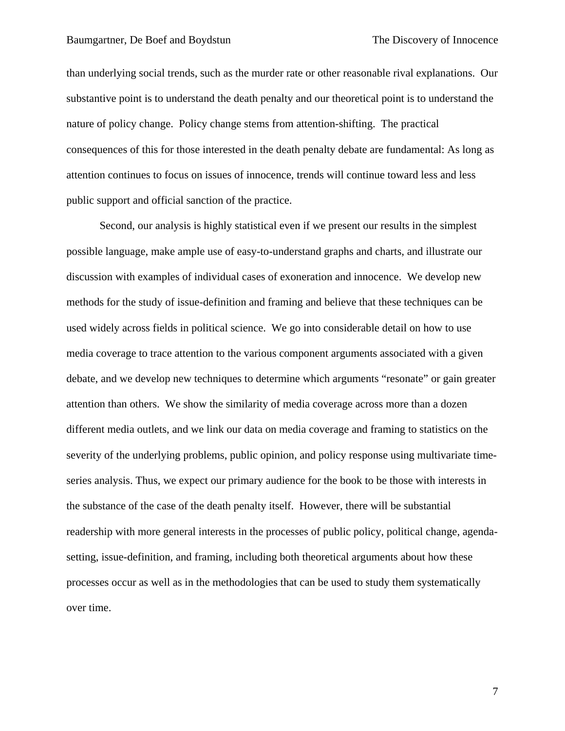than underlying social trends, such as the murder rate or other reasonable rival explanations. Our substantive point is to understand the death penalty and our theoretical point is to understand the nature of policy change. Policy change stems from attention-shifting. The practical consequences of this for those interested in the death penalty debate are fundamental: As long as attention continues to focus on issues of innocence, trends will continue toward less and less public support and official sanction of the practice.

Second, our analysis is highly statistical even if we present our results in the simplest possible language, make ample use of easy-to-understand graphs and charts, and illustrate our discussion with examples of individual cases of exoneration and innocence. We develop new methods for the study of issue-definition and framing and believe that these techniques can be used widely across fields in political science. We go into considerable detail on how to use media coverage to trace attention to the various component arguments associated with a given debate, and we develop new techniques to determine which arguments "resonate" or gain greater attention than others. We show the similarity of media coverage across more than a dozen different media outlets, and we link our data on media coverage and framing to statistics on the severity of the underlying problems, public opinion, and policy response using multivariate timeseries analysis. Thus, we expect our primary audience for the book to be those with interests in the substance of the case of the death penalty itself. However, there will be substantial readership with more general interests in the processes of public policy, political change, agendasetting, issue-definition, and framing, including both theoretical arguments about how these processes occur as well as in the methodologies that can be used to study them systematically over time.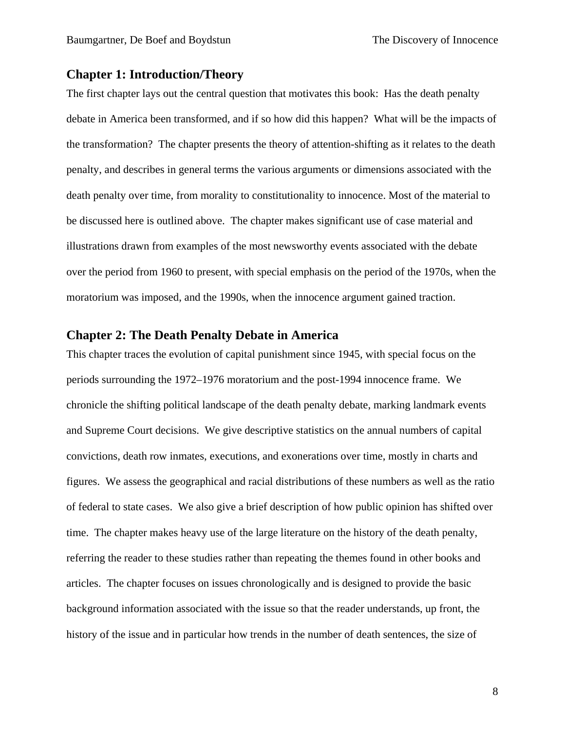### **Chapter 1: Introduction/Theory**

The first chapter lays out the central question that motivates this book: Has the death penalty debate in America been transformed, and if so how did this happen? What will be the impacts of the transformation? The chapter presents the theory of attention-shifting as it relates to the death penalty, and describes in general terms the various arguments or dimensions associated with the death penalty over time, from morality to constitutionality to innocence. Most of the material to be discussed here is outlined above. The chapter makes significant use of case material and illustrations drawn from examples of the most newsworthy events associated with the debate over the period from 1960 to present, with special emphasis on the period of the 1970s, when the moratorium was imposed, and the 1990s, when the innocence argument gained traction.

### **Chapter 2: The Death Penalty Debate in America**

This chapter traces the evolution of capital punishment since 1945, with special focus on the periods surrounding the 1972–1976 moratorium and the post-1994 innocence frame. We chronicle the shifting political landscape of the death penalty debate, marking landmark events and Supreme Court decisions. We give descriptive statistics on the annual numbers of capital convictions, death row inmates, executions, and exonerations over time, mostly in charts and figures. We assess the geographical and racial distributions of these numbers as well as the ratio of federal to state cases. We also give a brief description of how public opinion has shifted over time. The chapter makes heavy use of the large literature on the history of the death penalty, referring the reader to these studies rather than repeating the themes found in other books and articles. The chapter focuses on issues chronologically and is designed to provide the basic background information associated with the issue so that the reader understands, up front, the history of the issue and in particular how trends in the number of death sentences, the size of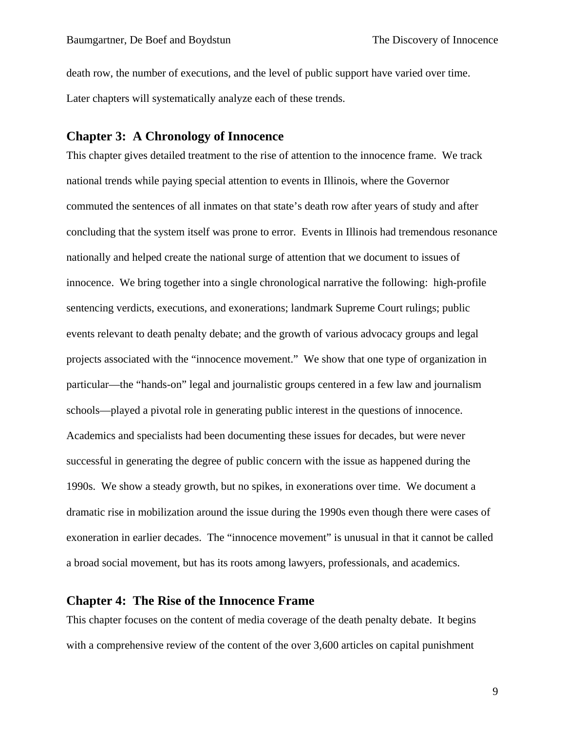death row, the number of executions, and the level of public support have varied over time. Later chapters will systematically analyze each of these trends.

### **Chapter 3: A Chronology of Innocence**

This chapter gives detailed treatment to the rise of attention to the innocence frame. We track national trends while paying special attention to events in Illinois, where the Governor commuted the sentences of all inmates on that state's death row after years of study and after concluding that the system itself was prone to error. Events in Illinois had tremendous resonance nationally and helped create the national surge of attention that we document to issues of innocence. We bring together into a single chronological narrative the following: high-profile sentencing verdicts, executions, and exonerations; landmark Supreme Court rulings; public events relevant to death penalty debate; and the growth of various advocacy groups and legal projects associated with the "innocence movement." We show that one type of organization in particular—the "hands-on" legal and journalistic groups centered in a few law and journalism schools—played a pivotal role in generating public interest in the questions of innocence. Academics and specialists had been documenting these issues for decades, but were never successful in generating the degree of public concern with the issue as happened during the 1990s. We show a steady growth, but no spikes, in exonerations over time. We document a dramatic rise in mobilization around the issue during the 1990s even though there were cases of exoneration in earlier decades. The "innocence movement" is unusual in that it cannot be called a broad social movement, but has its roots among lawyers, professionals, and academics.

### **Chapter 4: The Rise of the Innocence Frame**

This chapter focuses on the content of media coverage of the death penalty debate. It begins with a comprehensive review of the content of the over 3,600 articles on capital punishment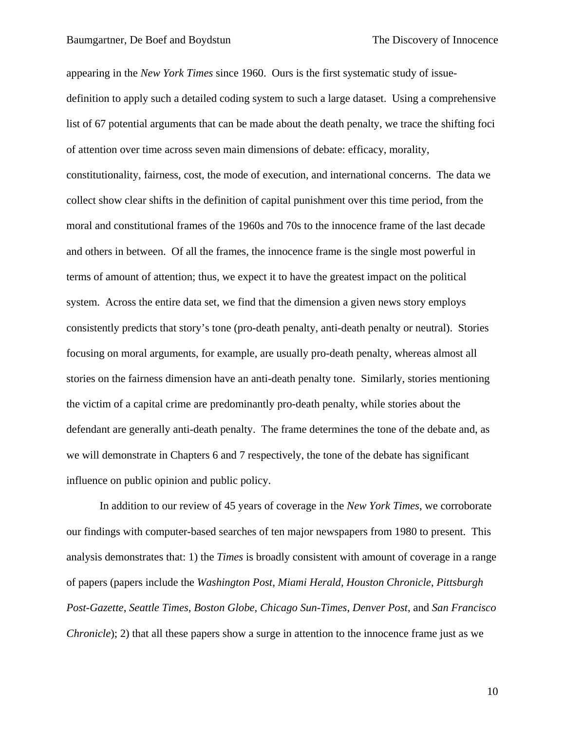appearing in the *New York Times* since 1960. Ours is the first systematic study of issuedefinition to apply such a detailed coding system to such a large dataset. Using a comprehensive list of 67 potential arguments that can be made about the death penalty, we trace the shifting foci of attention over time across seven main dimensions of debate: efficacy, morality, constitutionality, fairness, cost, the mode of execution, and international concerns. The data we collect show clear shifts in the definition of capital punishment over this time period, from the moral and constitutional frames of the 1960s and 70s to the innocence frame of the last decade and others in between. Of all the frames, the innocence frame is the single most powerful in terms of amount of attention; thus, we expect it to have the greatest impact on the political system. Across the entire data set, we find that the dimension a given news story employs consistently predicts that story's tone (pro-death penalty, anti-death penalty or neutral). Stories focusing on moral arguments, for example, are usually pro-death penalty, whereas almost all stories on the fairness dimension have an anti-death penalty tone. Similarly, stories mentioning the victim of a capital crime are predominantly pro-death penalty, while stories about the defendant are generally anti-death penalty. The frame determines the tone of the debate and, as we will demonstrate in Chapters 6 and 7 respectively, the tone of the debate has significant influence on public opinion and public policy.

In addition to our review of 45 years of coverage in the *New York Times*, we corroborate our findings with computer-based searches of ten major newspapers from 1980 to present. This analysis demonstrates that: 1) the *Times* is broadly consistent with amount of coverage in a range of papers (papers include the *Washington Post*, *Miami Herald*, *Houston Chronicle*, *Pittsburgh Post-Gazette*, *Seattle Times*, *Boston Globe*, *Chicago Sun-Times*, *Denver Post*, and *San Francisco Chronicle*); 2) that all these papers show a surge in attention to the innocence frame just as we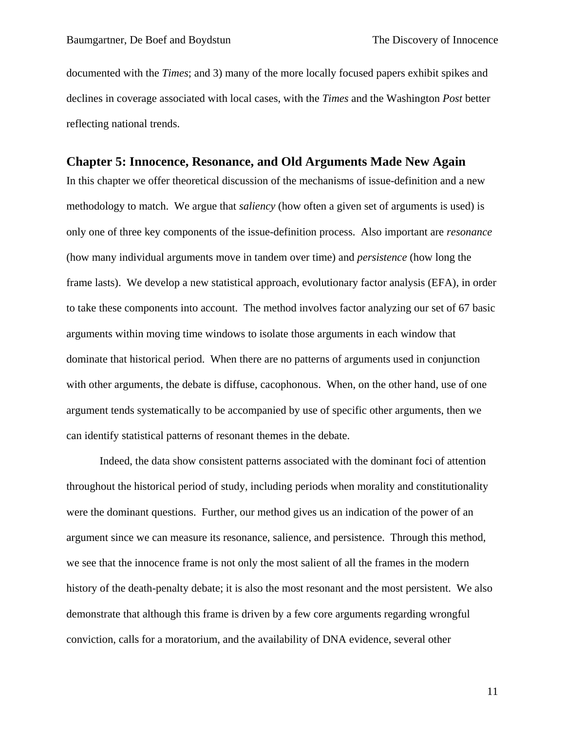documented with the *Times*; and 3) many of the more locally focused papers exhibit spikes and declines in coverage associated with local cases, with the *Times* and the Washington *Post* better reflecting national trends.

#### **Chapter 5: Innocence, Resonance, and Old Arguments Made New Again**

In this chapter we offer theoretical discussion of the mechanisms of issue-definition and a new methodology to match. We argue that *saliency* (how often a given set of arguments is used) is only one of three key components of the issue-definition process. Also important are *resonance*  (how many individual arguments move in tandem over time) and *persistence* (how long the frame lasts). We develop a new statistical approach, evolutionary factor analysis (EFA), in order to take these components into account. The method involves factor analyzing our set of 67 basic arguments within moving time windows to isolate those arguments in each window that dominate that historical period. When there are no patterns of arguments used in conjunction with other arguments, the debate is diffuse, cacophonous. When, on the other hand, use of one argument tends systematically to be accompanied by use of specific other arguments, then we can identify statistical patterns of resonant themes in the debate.

Indeed, the data show consistent patterns associated with the dominant foci of attention throughout the historical period of study, including periods when morality and constitutionality were the dominant questions. Further, our method gives us an indication of the power of an argument since we can measure its resonance, salience, and persistence. Through this method, we see that the innocence frame is not only the most salient of all the frames in the modern history of the death-penalty debate; it is also the most resonant and the most persistent. We also demonstrate that although this frame is driven by a few core arguments regarding wrongful conviction, calls for a moratorium, and the availability of DNA evidence, several other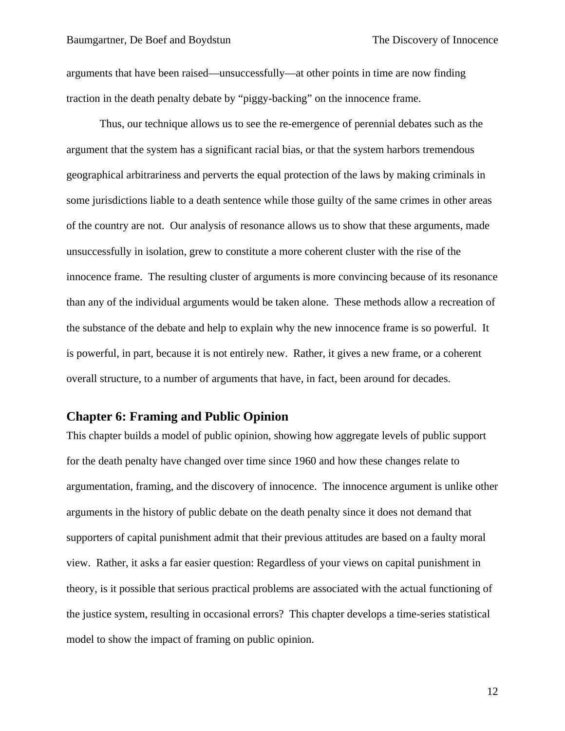arguments that have been raised—unsuccessfully—at other points in time are now finding traction in the death penalty debate by "piggy-backing" on the innocence frame.

Thus, our technique allows us to see the re-emergence of perennial debates such as the argument that the system has a significant racial bias, or that the system harbors tremendous geographical arbitrariness and perverts the equal protection of the laws by making criminals in some jurisdictions liable to a death sentence while those guilty of the same crimes in other areas of the country are not. Our analysis of resonance allows us to show that these arguments, made unsuccessfully in isolation, grew to constitute a more coherent cluster with the rise of the innocence frame. The resulting cluster of arguments is more convincing because of its resonance than any of the individual arguments would be taken alone. These methods allow a recreation of the substance of the debate and help to explain why the new innocence frame is so powerful. It is powerful, in part, because it is not entirely new. Rather, it gives a new frame, or a coherent overall structure, to a number of arguments that have, in fact, been around for decades.

## **Chapter 6: Framing and Public Opinion**

This chapter builds a model of public opinion, showing how aggregate levels of public support for the death penalty have changed over time since 1960 and how these changes relate to argumentation, framing, and the discovery of innocence. The innocence argument is unlike other arguments in the history of public debate on the death penalty since it does not demand that supporters of capital punishment admit that their previous attitudes are based on a faulty moral view. Rather, it asks a far easier question: Regardless of your views on capital punishment in theory, is it possible that serious practical problems are associated with the actual functioning of the justice system, resulting in occasional errors? This chapter develops a time-series statistical model to show the impact of framing on public opinion.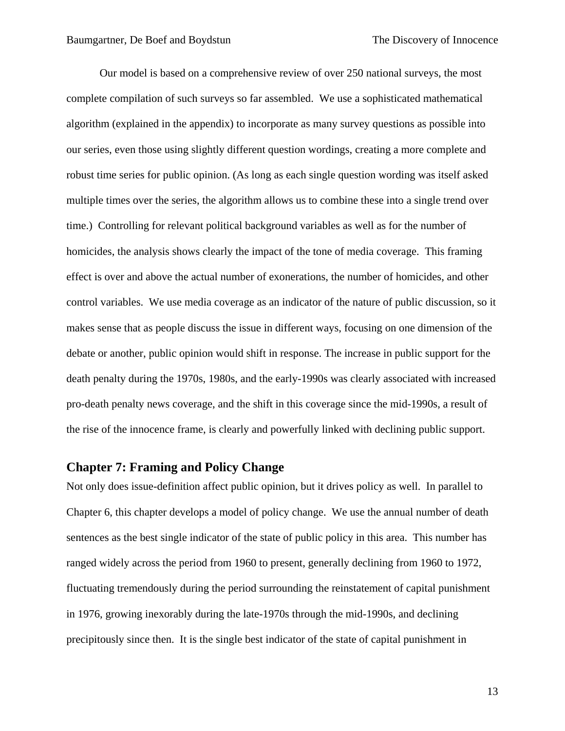Our model is based on a comprehensive review of over 250 national surveys, the most complete compilation of such surveys so far assembled. We use a sophisticated mathematical algorithm (explained in the appendix) to incorporate as many survey questions as possible into our series, even those using slightly different question wordings, creating a more complete and robust time series for public opinion. (As long as each single question wording was itself asked multiple times over the series, the algorithm allows us to combine these into a single trend over time.) Controlling for relevant political background variables as well as for the number of homicides, the analysis shows clearly the impact of the tone of media coverage. This framing effect is over and above the actual number of exonerations, the number of homicides, and other control variables. We use media coverage as an indicator of the nature of public discussion, so it makes sense that as people discuss the issue in different ways, focusing on one dimension of the debate or another, public opinion would shift in response. The increase in public support for the death penalty during the 1970s, 1980s, and the early-1990s was clearly associated with increased pro-death penalty news coverage, and the shift in this coverage since the mid-1990s, a result of the rise of the innocence frame, is clearly and powerfully linked with declining public support.

### **Chapter 7: Framing and Policy Change**

Not only does issue-definition affect public opinion, but it drives policy as well. In parallel to Chapter 6, this chapter develops a model of policy change. We use the annual number of death sentences as the best single indicator of the state of public policy in this area. This number has ranged widely across the period from 1960 to present, generally declining from 1960 to 1972, fluctuating tremendously during the period surrounding the reinstatement of capital punishment in 1976, growing inexorably during the late-1970s through the mid-1990s, and declining precipitously since then. It is the single best indicator of the state of capital punishment in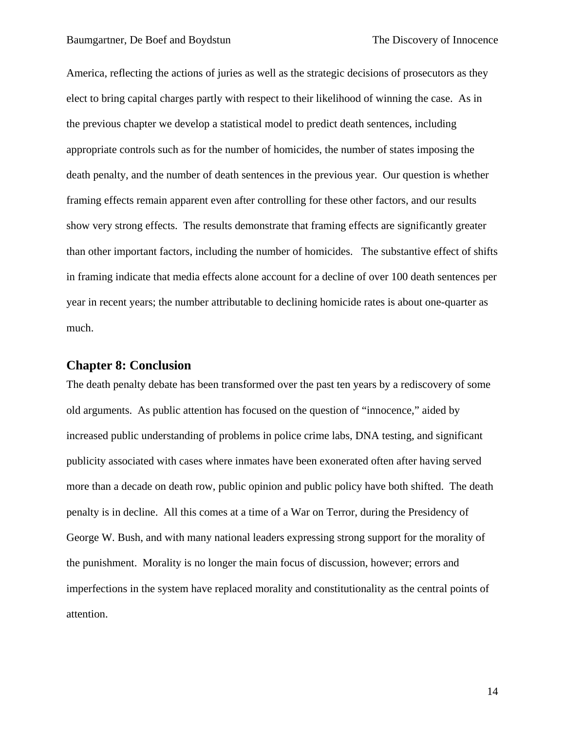America, reflecting the actions of juries as well as the strategic decisions of prosecutors as they elect to bring capital charges partly with respect to their likelihood of winning the case. As in the previous chapter we develop a statistical model to predict death sentences, including appropriate controls such as for the number of homicides, the number of states imposing the death penalty, and the number of death sentences in the previous year. Our question is whether framing effects remain apparent even after controlling for these other factors, and our results show very strong effects. The results demonstrate that framing effects are significantly greater than other important factors, including the number of homicides. The substantive effect of shifts in framing indicate that media effects alone account for a decline of over 100 death sentences per year in recent years; the number attributable to declining homicide rates is about one-quarter as much.

#### **Chapter 8: Conclusion**

The death penalty debate has been transformed over the past ten years by a rediscovery of some old arguments. As public attention has focused on the question of "innocence," aided by increased public understanding of problems in police crime labs, DNA testing, and significant publicity associated with cases where inmates have been exonerated often after having served more than a decade on death row, public opinion and public policy have both shifted. The death penalty is in decline. All this comes at a time of a War on Terror, during the Presidency of George W. Bush, and with many national leaders expressing strong support for the morality of the punishment. Morality is no longer the main focus of discussion, however; errors and imperfections in the system have replaced morality and constitutionality as the central points of attention.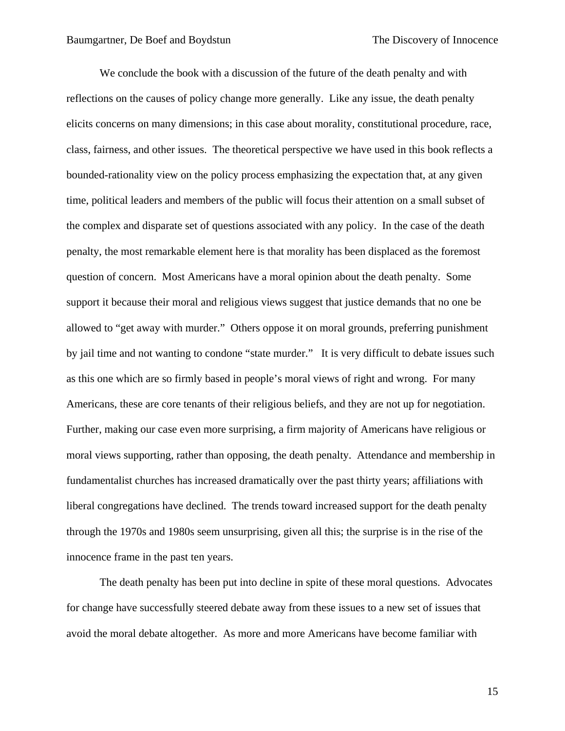We conclude the book with a discussion of the future of the death penalty and with reflections on the causes of policy change more generally. Like any issue, the death penalty elicits concerns on many dimensions; in this case about morality, constitutional procedure, race, class, fairness, and other issues. The theoretical perspective we have used in this book reflects a bounded-rationality view on the policy process emphasizing the expectation that, at any given time, political leaders and members of the public will focus their attention on a small subset of the complex and disparate set of questions associated with any policy. In the case of the death penalty, the most remarkable element here is that morality has been displaced as the foremost question of concern. Most Americans have a moral opinion about the death penalty. Some support it because their moral and religious views suggest that justice demands that no one be allowed to "get away with murder." Others oppose it on moral grounds, preferring punishment by jail time and not wanting to condone "state murder." It is very difficult to debate issues such as this one which are so firmly based in people's moral views of right and wrong. For many Americans, these are core tenants of their religious beliefs, and they are not up for negotiation. Further, making our case even more surprising, a firm majority of Americans have religious or moral views supporting, rather than opposing, the death penalty. Attendance and membership in fundamentalist churches has increased dramatically over the past thirty years; affiliations with liberal congregations have declined. The trends toward increased support for the death penalty through the 1970s and 1980s seem unsurprising, given all this; the surprise is in the rise of the innocence frame in the past ten years.

The death penalty has been put into decline in spite of these moral questions. Advocates for change have successfully steered debate away from these issues to a new set of issues that avoid the moral debate altogether. As more and more Americans have become familiar with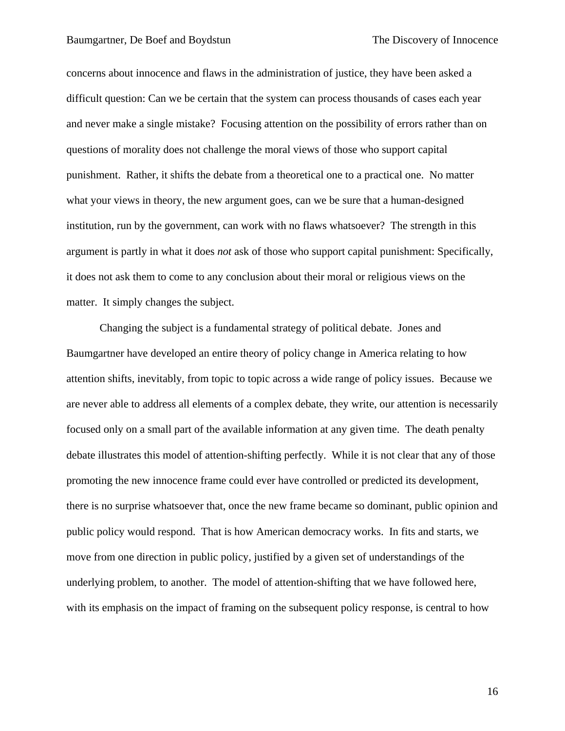concerns about innocence and flaws in the administration of justice, they have been asked a difficult question: Can we be certain that the system can process thousands of cases each year and never make a single mistake? Focusing attention on the possibility of errors rather than on questions of morality does not challenge the moral views of those who support capital punishment. Rather, it shifts the debate from a theoretical one to a practical one. No matter what your views in theory, the new argument goes, can we be sure that a human-designed institution, run by the government, can work with no flaws whatsoever? The strength in this argument is partly in what it does *not* ask of those who support capital punishment: Specifically, it does not ask them to come to any conclusion about their moral or religious views on the matter. It simply changes the subject.

Changing the subject is a fundamental strategy of political debate. Jones and Baumgartner have developed an entire theory of policy change in America relating to how attention shifts, inevitably, from topic to topic across a wide range of policy issues. Because we are never able to address all elements of a complex debate, they write, our attention is necessarily focused only on a small part of the available information at any given time. The death penalty debate illustrates this model of attention-shifting perfectly. While it is not clear that any of those promoting the new innocence frame could ever have controlled or predicted its development, there is no surprise whatsoever that, once the new frame became so dominant, public opinion and public policy would respond. That is how American democracy works. In fits and starts, we move from one direction in public policy, justified by a given set of understandings of the underlying problem, to another. The model of attention-shifting that we have followed here, with its emphasis on the impact of framing on the subsequent policy response, is central to how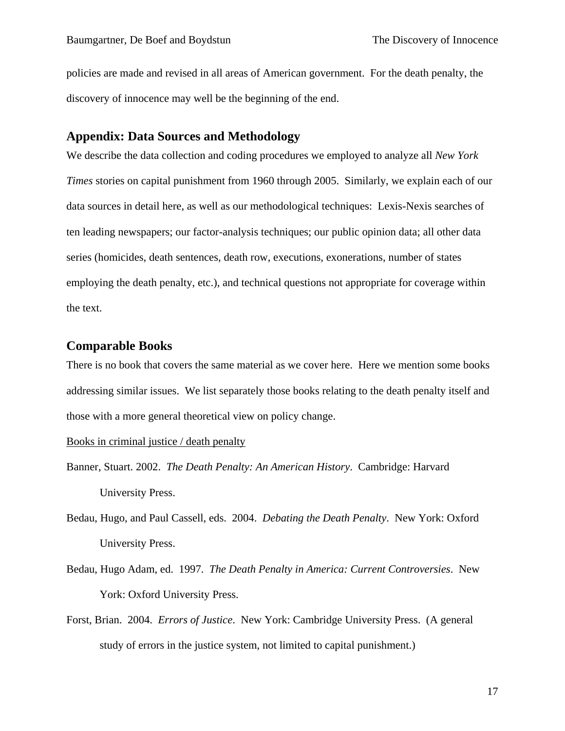policies are made and revised in all areas of American government. For the death penalty, the discovery of innocence may well be the beginning of the end.

### **Appendix: Data Sources and Methodology**

We describe the data collection and coding procedures we employed to analyze all *New York Times* stories on capital punishment from 1960 through 2005. Similarly, we explain each of our data sources in detail here, as well as our methodological techniques: Lexis-Nexis searches of ten leading newspapers; our factor-analysis techniques; our public opinion data; all other data series (homicides, death sentences, death row, executions, exonerations, number of states employing the death penalty, etc.), and technical questions not appropriate for coverage within the text.

### **Comparable Books**

There is no book that covers the same material as we cover here. Here we mention some books addressing similar issues. We list separately those books relating to the death penalty itself and those with a more general theoretical view on policy change.

Books in criminal justice / death penalty

- Banner, Stuart. 2002. *The Death Penalty: An American History*. Cambridge: Harvard University Press.
- Bedau, Hugo, and Paul Cassell, eds. 2004. *Debating the Death Penalty*. New York: Oxford University Press.
- Bedau, Hugo Adam, ed. 1997. *The Death Penalty in America: Current Controversies*. New York: Oxford University Press.
- Forst, Brian. 2004. *Errors of Justice*. New York: Cambridge University Press. (A general study of errors in the justice system, not limited to capital punishment.)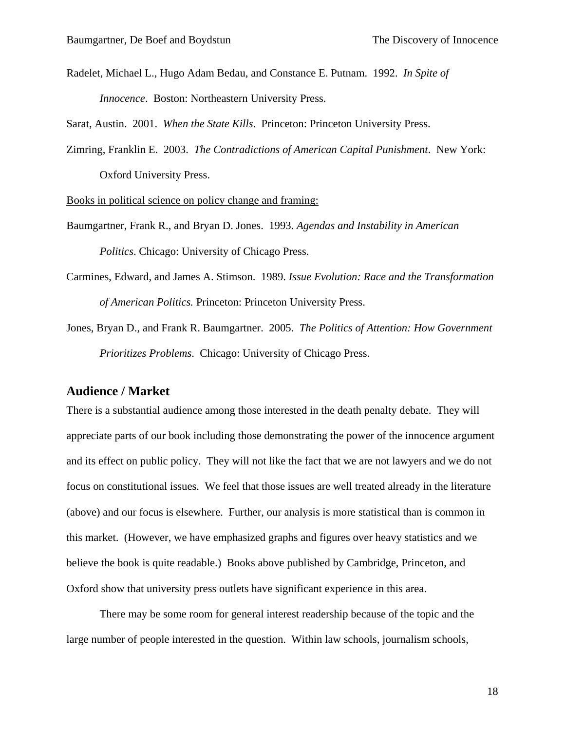Radelet, Michael L., Hugo Adam Bedau, and Constance E. Putnam. 1992. *In Spite of Innocence*. Boston: Northeastern University Press.

Sarat, Austin. 2001. *When the State Kills*. Princeton: Princeton University Press.

Zimring, Franklin E. 2003. *The Contradictions of American Capital Punishment*. New York: Oxford University Press.

Books in political science on policy change and framing:

- Baumgartner, Frank R., and Bryan D. Jones. 1993. *Agendas and Instability in American Politics*. Chicago: University of Chicago Press.
- Carmines, Edward, and James A. Stimson. 1989. *Issue Evolution: Race and the Transformation of American Politics.* Princeton: Princeton University Press.
- Jones, Bryan D., and Frank R. Baumgartner. 2005. *The Politics of Attention: How Government Prioritizes Problems*. Chicago: University of Chicago Press.

#### **Audience / Market**

There is a substantial audience among those interested in the death penalty debate. They will appreciate parts of our book including those demonstrating the power of the innocence argument and its effect on public policy. They will not like the fact that we are not lawyers and we do not focus on constitutional issues. We feel that those issues are well treated already in the literature (above) and our focus is elsewhere. Further, our analysis is more statistical than is common in this market. (However, we have emphasized graphs and figures over heavy statistics and we believe the book is quite readable.) Books above published by Cambridge, Princeton, and Oxford show that university press outlets have significant experience in this area.

There may be some room for general interest readership because of the topic and the large number of people interested in the question. Within law schools, journalism schools,